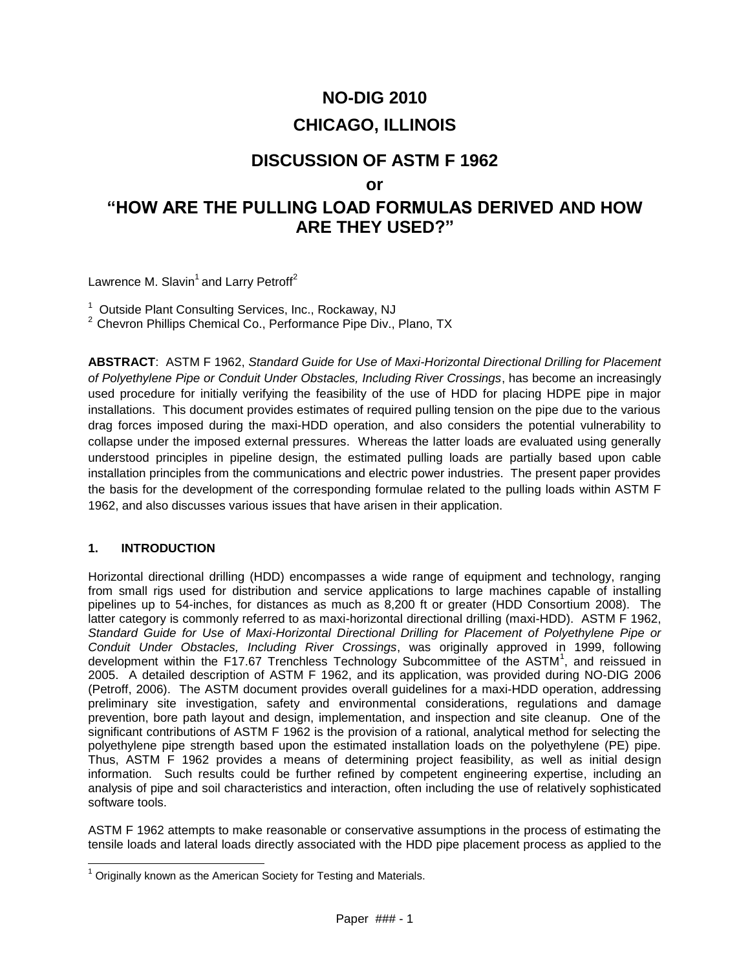# **NO-DIG 2010 CHICAGO, ILLINOIS**

# **DISCUSSION OF ASTM F 1962**

# **or**

# **"HOW ARE THE PULLING LOAD FORMULAS DERIVED AND HOW ARE THEY USED?"**

Lawrence M. Slavin<sup>1</sup> and Larry Petroff<sup>2</sup>

<sup>1</sup> Outside Plant Consulting Services, Inc., Rockaway, NJ

<sup>2</sup> Chevron Phillips Chemical Co., Performance Pipe Div., Plano, TX

**ABSTRACT**: ASTM F 1962, *Standard Guide for Use of Maxi-Horizontal Directional Drilling for Placement of Polyethylene Pipe or Conduit Under Obstacles, Including River Crossings*, has become an increasingly used procedure for initially verifying the feasibility of the use of HDD for placing HDPE pipe in major installations. This document provides estimates of required pulling tension on the pipe due to the various drag forces imposed during the maxi-HDD operation, and also considers the potential vulnerability to collapse under the imposed external pressures. Whereas the latter loads are evaluated using generally understood principles in pipeline design, the estimated pulling loads are partially based upon cable installation principles from the communications and electric power industries. The present paper provides the basis for the development of the corresponding formulae related to the pulling loads within ASTM F 1962, and also discusses various issues that have arisen in their application.

# **1. INTRODUCTION**

l

Horizontal directional drilling (HDD) encompasses a wide range of equipment and technology, ranging from small rigs used for distribution and service applications to large machines capable of installing pipelines up to 54-inches, for distances as much as 8,200 ft or greater (HDD Consortium 2008). The latter category is commonly referred to as maxi-horizontal directional drilling (maxi-HDD). ASTM F 1962, *Standard Guide for Use of Maxi-Horizontal Directional Drilling for Placement of Polyethylene Pipe or Conduit Under Obstacles, Including River Crossings*, was originally approved in 1999, following development within the F17.67 Trenchless Technology Subcommittee of the ASTM<sup>1</sup>, and reissued in 2005. A detailed description of ASTM F 1962, and its application, was provided during NO-DIG 2006 (Petroff, 2006). The ASTM document provides overall guidelines for a maxi-HDD operation, addressing preliminary site investigation, safety and environmental considerations, regulations and damage prevention, bore path layout and design, implementation, and inspection and site cleanup. One of the significant contributions of ASTM F 1962 is the provision of a rational, analytical method for selecting the polyethylene pipe strength based upon the estimated installation loads on the polyethylene (PE) pipe. Thus, ASTM F 1962 provides a means of determining project feasibility, as well as initial design information. Such results could be further refined by competent engineering expertise, including an analysis of pipe and soil characteristics and interaction, often including the use of relatively sophisticated software tools.

ASTM F 1962 attempts to make reasonable or conservative assumptions in the process of estimating the tensile loads and lateral loads directly associated with the HDD pipe placement process as applied to the

 $1$  Originally known as the American Society for Testing and Materials.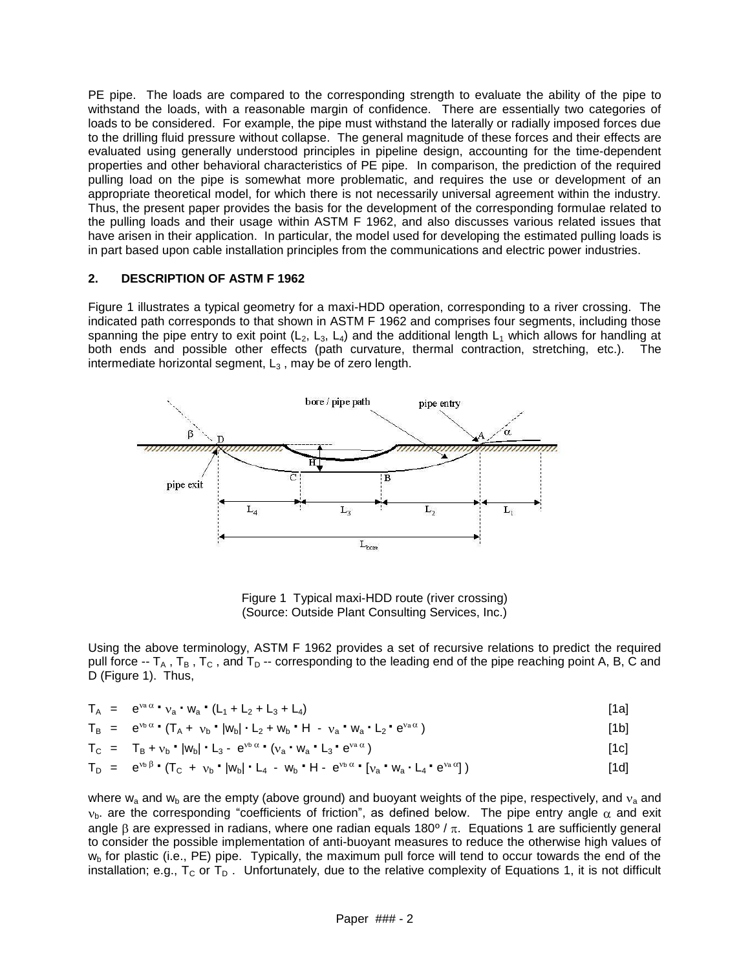PE pipe. The loads are compared to the corresponding strength to evaluate the ability of the pipe to withstand the loads, with a reasonable margin of confidence. There are essentially two categories of loads to be considered. For example, the pipe must withstand the laterally or radially imposed forces due to the drilling fluid pressure without collapse. The general magnitude of these forces and their effects are evaluated using generally understood principles in pipeline design, accounting for the time-dependent properties and other behavioral characteristics of PE pipe. In comparison, the prediction of the required pulling load on the pipe is somewhat more problematic, and requires the use or development of an appropriate theoretical model, for which there is not necessarily universal agreement within the industry. Thus, the present paper provides the basis for the development of the corresponding formulae related to the pulling loads and their usage within ASTM F 1962, and also discusses various related issues that have arisen in their application. In particular, the model used for developing the estimated pulling loads is in part based upon cable installation principles from the communications and electric power industries.

#### **2. DESCRIPTION OF ASTM F 1962**

Figure 1 illustrates a typical geometry for a maxi-HDD operation, corresponding to a river crossing. The indicated path corresponds to that shown in ASTM F 1962 and comprises four segments, including those spanning the pipe entry to exit point  $(L_2, L_3, L_4)$  and the additional length  $L_1$  which allows for handling at both ends and possible other effects (path curvature, thermal contraction, stretching, etc.). The intermediate horizontal segment,  $L_3$ , may be of zero length.



Figure 1 Typical maxi-HDD route (river crossing) (Source: Outside Plant Consulting Services, Inc.)

Using the above terminology, ASTM F 1962 provides a set of recursive relations to predict the required pull force  $-F_A$ ,  $T_B$ ,  $T_C$ , and  $T_D$  -- corresponding to the leading end of the pipe reaching point A, B, C and D (Figure 1). Thus,

$$
T_A = e^{va \alpha} \cdot v_a \cdot W_a \cdot (L_1 + L_2 + L_3 + L_4)
$$
 [1a]

$$
T_B = e^{v_b \alpha} \cdot (T_A + v_b \cdot |w_b| \cdot L_2 + w_b \cdot H - v_a \cdot w_a \cdot L_2 \cdot e^{v_a \alpha})
$$
\n[1b]

$$
T_{C} = T_{B} + v_{b} \cdot |w_{b}| \cdot L_{3} - e^{v_{b} \alpha} \cdot (v_{a} \cdot w_{a} \cdot L_{3} \cdot e^{v_{a} \alpha})
$$
\n[1c]

$$
T_D = e^{v_D \beta} \cdot (T_C + v_D \cdot |w_D| \cdot L_4 - w_D \cdot H \cdot e^{v_D \alpha} \cdot [v_a \cdot w_a \cdot L_4 \cdot e^{v_a \alpha}]
$$
 (1d)

where  $w_a$  and  $w_b$  are the empty (above ground) and buoyant weights of the pipe, respectively, and  $v_a$  and  $v<sub>b</sub>$ . are the corresponding "coefficients of friction", as defined below. The pipe entry angle  $\alpha$  and exit angle  $\beta$  are expressed in radians, where one radian equals 180<sup>o</sup> /  $\pi$ . Equations 1 are sufficiently general to consider the possible implementation of anti-buoyant measures to reduce the otherwise high values of  $w<sub>b</sub>$  for plastic (i.e., PE) pipe. Typically, the maximum pull force will tend to occur towards the end of the installation; e.g.,  $T_C$  or  $T_D$ . Unfortunately, due to the relative complexity of Equations 1, it is not difficult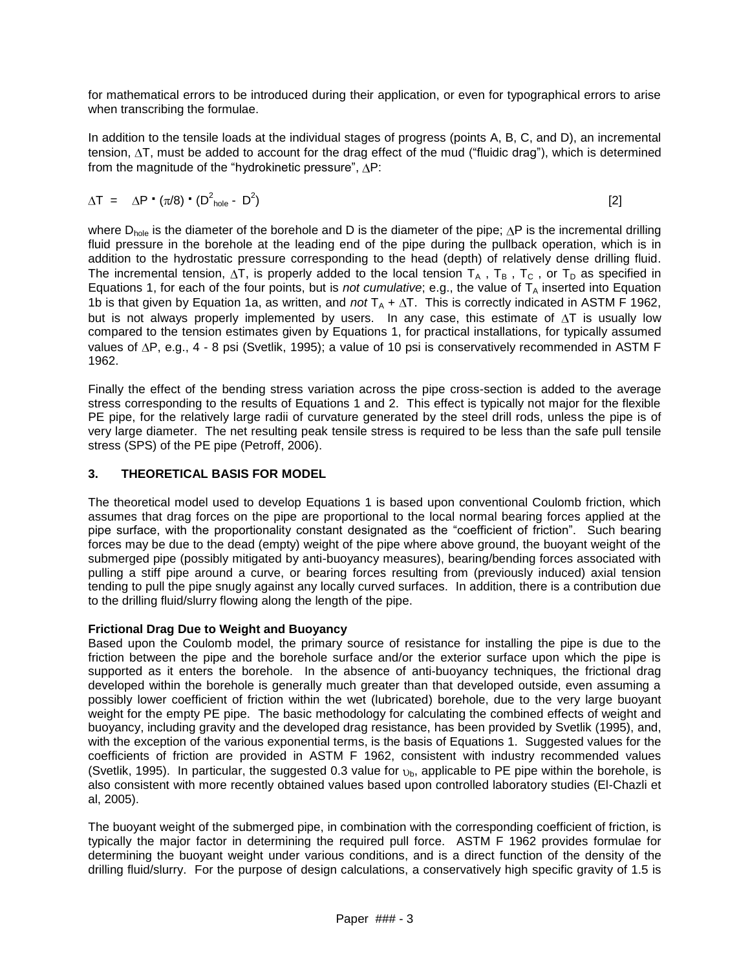for mathematical errors to be introduced during their application, or even for typographical errors to arise when transcribing the formulae.

In addition to the tensile loads at the individual stages of progress (points A, B, C, and D), an incremental tension,  $\Delta T$ , must be added to account for the drag effect of the mud ("fluidic drag"), which is determined from the magnitude of the "hydrokinetic pressure",  $\Delta P$ :

$$
\Delta T = \Delta P \cdot (\pi/8) \cdot (D^2_{\text{hole}} - D^2) \tag{2}
$$

where  $D_{hole}$  is the diameter of the borehole and D is the diameter of the pipe;  $\Delta P$  is the incremental drilling fluid pressure in the borehole at the leading end of the pipe during the pullback operation, which is in addition to the hydrostatic pressure corresponding to the head (depth) of relatively dense drilling fluid. The incremental tension,  $\Delta T$ , is properly added to the local tension  $T_A$ ,  $T_B$ ,  $T_C$ , or  $T_D$  as specified in Equations 1, for each of the four points, but is *not cumulative*; e.g., the value of  $T_A$  inserted into Equation 1b is that given by Equation 1a, as written, and *not*  $T_A + \Delta T$ . This is correctly indicated in ASTM F 1962, but is not always properly implemented by users. In any case, this estimate of  $\Delta T$  is usually low compared to the tension estimates given by Equations 1, for practical installations, for typically assumed values of  $\Delta P$ , e.g., 4 - 8 psi (Svetlik, 1995); a value of 10 psi is conservatively recommended in ASTM F 1962.

Finally the effect of the bending stress variation across the pipe cross-section is added to the average stress corresponding to the results of Equations 1 and 2. This effect is typically not major for the flexible PE pipe, for the relatively large radii of curvature generated by the steel drill rods, unless the pipe is of very large diameter. The net resulting peak tensile stress is required to be less than the safe pull tensile stress (SPS) of the PE pipe (Petroff, 2006).

# **3. THEORETICAL BASIS FOR MODEL**

The theoretical model used to develop Equations 1 is based upon conventional Coulomb friction, which assumes that drag forces on the pipe are proportional to the local normal bearing forces applied at the pipe surface, with the proportionality constant designated as the "coefficient of friction". Such bearing forces may be due to the dead (empty) weight of the pipe where above ground, the buoyant weight of the submerged pipe (possibly mitigated by anti-buoyancy measures), bearing/bending forces associated with pulling a stiff pipe around a curve, or bearing forces resulting from (previously induced) axial tension tending to pull the pipe snugly against any locally curved surfaces. In addition, there is a contribution due to the drilling fluid/slurry flowing along the length of the pipe.

# **Frictional Drag Due to Weight and Buoyancy**

Based upon the Coulomb model, the primary source of resistance for installing the pipe is due to the friction between the pipe and the borehole surface and/or the exterior surface upon which the pipe is supported as it enters the borehole. In the absence of anti-buoyancy techniques, the frictional drag developed within the borehole is generally much greater than that developed outside, even assuming a possibly lower coefficient of friction within the wet (lubricated) borehole, due to the very large buoyant weight for the empty PE pipe. The basic methodology for calculating the combined effects of weight and buoyancy, including gravity and the developed drag resistance, has been provided by Svetlik (1995), and, with the exception of the various exponential terms, is the basis of Equations 1. Suggested values for the coefficients of friction are provided in ASTM F 1962, consistent with industry recommended values (Svetlik, 1995). In particular, the suggested 0.3 value for  $v<sub>b</sub>$ , applicable to PE pipe within the borehole, is also consistent with more recently obtained values based upon controlled laboratory studies (El-Chazli et al, 2005).

The buoyant weight of the submerged pipe, in combination with the corresponding coefficient of friction, is typically the major factor in determining the required pull force. ASTM F 1962 provides formulae for determining the buoyant weight under various conditions, and is a direct function of the density of the drilling fluid/slurry. For the purpose of design calculations, a conservatively high specific gravity of 1.5 is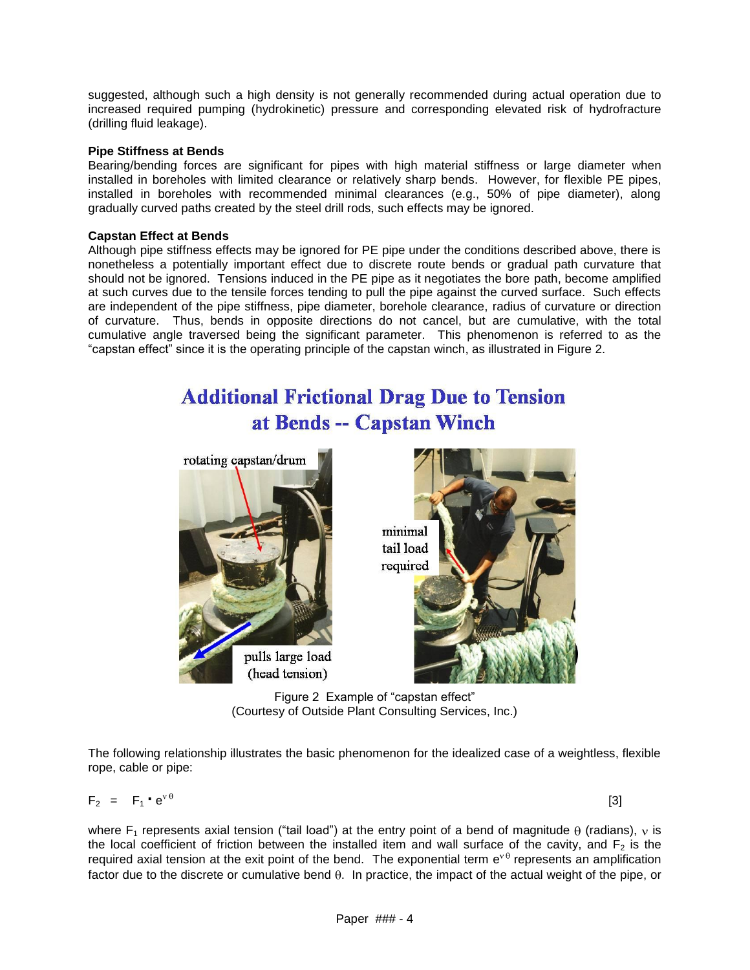suggested, although such a high density is not generally recommended during actual operation due to increased required pumping (hydrokinetic) pressure and corresponding elevated risk of hydrofracture (drilling fluid leakage).

#### **Pipe Stiffness at Bends**

Bearing/bending forces are significant for pipes with high material stiffness or large diameter when installed in boreholes with limited clearance or relatively sharp bends. However, for flexible PE pipes, installed in boreholes with recommended minimal clearances (e.g., 50% of pipe diameter), along gradually curved paths created by the steel drill rods, such effects may be ignored.

#### **Capstan Effect at Bends**

Although pipe stiffness effects may be ignored for PE pipe under the conditions described above, there is nonetheless a potentially important effect due to discrete route bends or gradual path curvature that should not be ignored. Tensions induced in the PE pipe as it negotiates the bore path, become amplified at such curves due to the tensile forces tending to pull the pipe against the curved surface. Such effects are independent of the pipe stiffness, pipe diameter, borehole clearance, radius of curvature or direction of curvature. Thus, bends in opposite directions do not cancel, but are cumulative, with the total cumulative angle traversed being the significant parameter. This phenomenon is referred to as the "capstan effect" since it is the operating principle of the capstan winch, as illustrated in Figure 2.

# **Additional Frictional Drag Due to Tension** at Bends -- Capstan Winch





Figure 2 Example of "capstan effect" (Courtesy of Outside Plant Consulting Services, Inc.)

The following relationship illustrates the basic phenomenon for the idealized case of a weightless, flexible rope, cable or pipe:

$$
F_2 = F_1 \cdot e^{v \theta} \tag{3}
$$

where  $F_1$  represents axial tension ("tail load") at the entry point of a bend of magnitude  $\theta$  (radians), v is the local coefficient of friction between the installed item and wall surface of the cavity, and  $F<sub>2</sub>$  is the required axial tension at the exit point of the bend. The exponential term  $e^{v\theta}$  represents an amplification factor due to the discrete or cumulative bend  $\theta$ . In practice, the impact of the actual weight of the pipe, or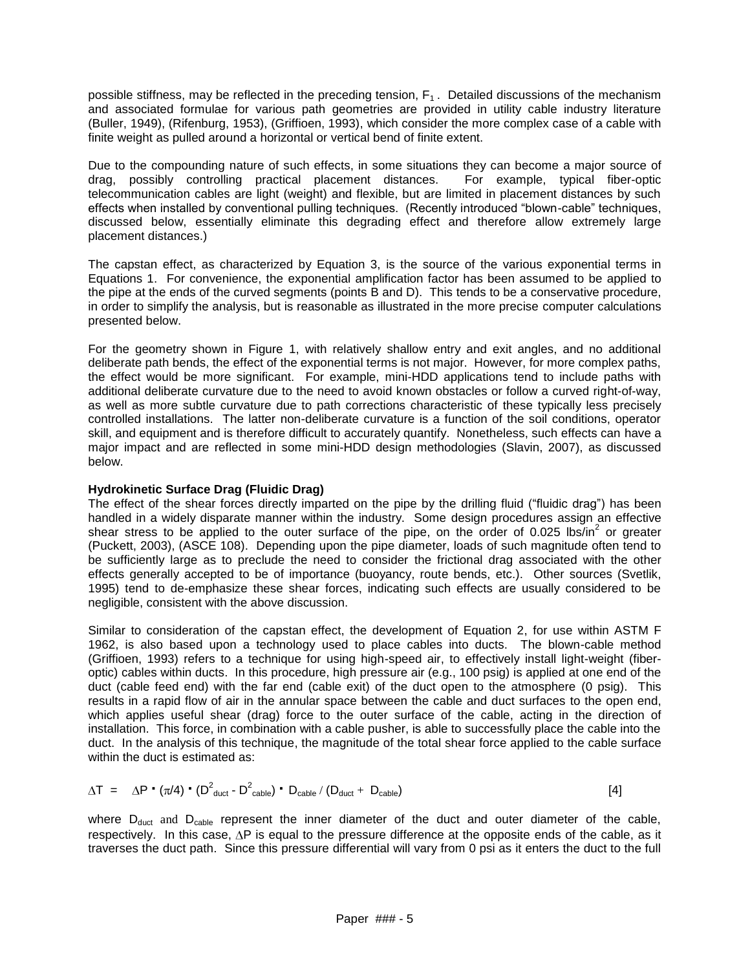possible stiffness, may be reflected in the preceding tension,  $F_1$ . Detailed discussions of the mechanism and associated formulae for various path geometries are provided in utility cable industry literature (Buller, 1949), (Rifenburg, 1953), (Griffioen, 1993), which consider the more complex case of a cable with finite weight as pulled around a horizontal or vertical bend of finite extent.

Due to the compounding nature of such effects, in some situations they can become a major source of drag, possibly controlling practical placement distances. For example, typical fiber-optic telecommunication cables are light (weight) and flexible, but are limited in placement distances by such effects when installed by conventional pulling techniques. (Recently introduced "blown-cable" techniques, discussed below, essentially eliminate this degrading effect and therefore allow extremely large placement distances.)

The capstan effect, as characterized by Equation 3, is the source of the various exponential terms in Equations 1. For convenience, the exponential amplification factor has been assumed to be applied to the pipe at the ends of the curved segments (points B and D). This tends to be a conservative procedure, in order to simplify the analysis, but is reasonable as illustrated in the more precise computer calculations presented below.

For the geometry shown in Figure 1, with relatively shallow entry and exit angles, and no additional deliberate path bends, the effect of the exponential terms is not major. However, for more complex paths, the effect would be more significant. For example, mini-HDD applications tend to include paths with additional deliberate curvature due to the need to avoid known obstacles or follow a curved right-of-way, as well as more subtle curvature due to path corrections characteristic of these typically less precisely controlled installations. The latter non-deliberate curvature is a function of the soil conditions, operator skill, and equipment and is therefore difficult to accurately quantify. Nonetheless, such effects can have a major impact and are reflected in some mini-HDD design methodologies (Slavin, 2007), as discussed below.

#### **Hydrokinetic Surface Drag (Fluidic Drag)**

The effect of the shear forces directly imparted on the pipe by the drilling fluid ("fluidic drag") has been handled in a widely disparate manner within the industry. Some design procedures assign an effective shear stress to be applied to the outer surface of the pipe, on the order of 0.025 lbs/in<sup>2</sup> or greater (Puckett, 2003), (ASCE 108). Depending upon the pipe diameter, loads of such magnitude often tend to be sufficiently large as to preclude the need to consider the frictional drag associated with the other effects generally accepted to be of importance (buoyancy, route bends, etc.). Other sources (Svetlik, 1995) tend to de-emphasize these shear forces, indicating such effects are usually considered to be negligible, consistent with the above discussion.

Similar to consideration of the capstan effect, the development of Equation 2, for use within ASTM F 1962, is also based upon a technology used to place cables into ducts. The blown-cable method (Griffioen, 1993) refers to a technique for using high-speed air, to effectively install light-weight (fiberoptic) cables within ducts. In this procedure, high pressure air (e.g., 100 psig) is applied at one end of the duct (cable feed end) with the far end (cable exit) of the duct open to the atmosphere (0 psig). This results in a rapid flow of air in the annular space between the cable and duct surfaces to the open end, which applies useful shear (drag) force to the outer surface of the cable, acting in the direction of installation. This force, in combination with a cable pusher, is able to successfully place the cable into the duct. In the analysis of this technique, the magnitude of the total shear force applied to the cable surface within the duct is estimated as:

$$
\Delta T = \Delta P \cdot (\pi/4) \cdot (D^2_{\text{duct}} - D^2_{\text{cable}}) \cdot D_{\text{cable}} / (D_{\text{duct}} + D_{\text{cable}})
$$
 [4]

where  $D_{\text{duct}}$  and  $D_{\text{cable}}$  represent the inner diameter of the duct and outer diameter of the cable, respectively. In this case,  $\Delta P$  is equal to the pressure difference at the opposite ends of the cable, as it traverses the duct path. Since this pressure differential will vary from 0 psi as it enters the duct to the full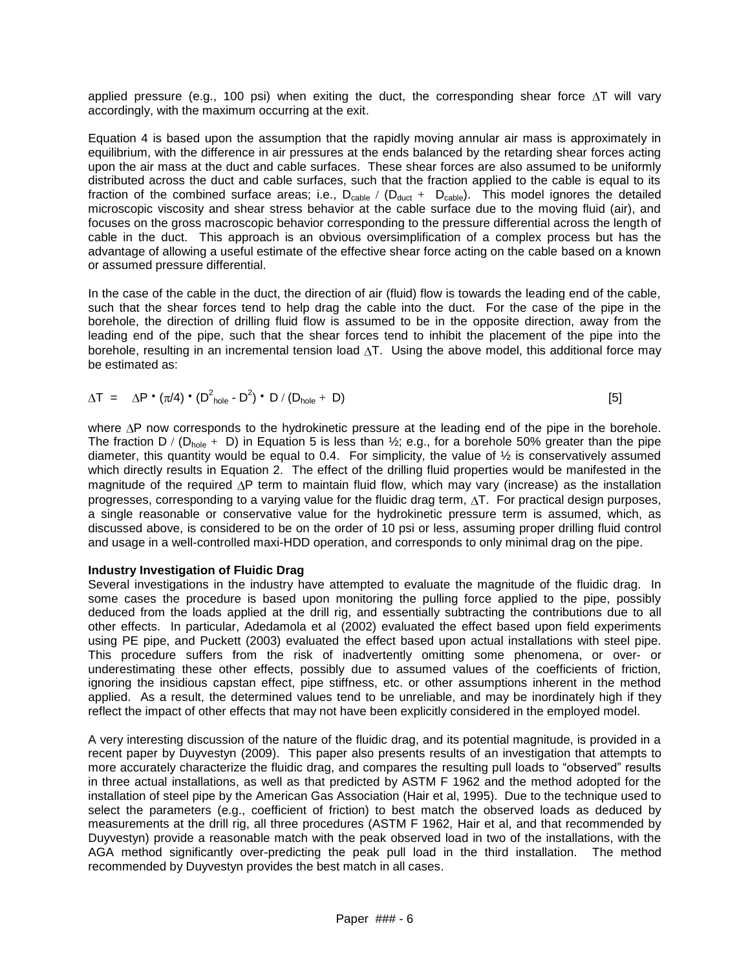applied pressure (e.g., 100 psi) when exiting the duct, the corresponding shear force  $\Delta T$  will vary accordingly, with the maximum occurring at the exit.

Equation 4 is based upon the assumption that the rapidly moving annular air mass is approximately in equilibrium, with the difference in air pressures at the ends balanced by the retarding shear forces acting upon the air mass at the duct and cable surfaces. These shear forces are also assumed to be uniformly distributed across the duct and cable surfaces, such that the fraction applied to the cable is equal to its fraction of the combined surface areas; i.e.,  $D_{\text{cable}} / (D_{\text{duct}} + D_{\text{cable}})$ . This model ignores the detailed microscopic viscosity and shear stress behavior at the cable surface due to the moving fluid (air), and focuses on the gross macroscopic behavior corresponding to the pressure differential across the length of cable in the duct. This approach is an obvious oversimplification of a complex process but has the advantage of allowing a useful estimate of the effective shear force acting on the cable based on a known or assumed pressure differential.

In the case of the cable in the duct, the direction of air (fluid) flow is towards the leading end of the cable, such that the shear forces tend to help drag the cable into the duct. For the case of the pipe in the borehole, the direction of drilling fluid flow is assumed to be in the opposite direction, away from the leading end of the pipe, such that the shear forces tend to inhibit the placement of the pipe into the borehole, resulting in an incremental tension load  $\Delta T$ . Using the above model, this additional force may be estimated as:

$$
\Delta T = \Delta P \cdot (\pi/4) \cdot (D^2_{\text{hole}} - D^2) \cdot D / (D_{\text{hole}} + D)
$$
 [5]

where  $\Delta P$  now corresponds to the hydrokinetic pressure at the leading end of the pipe in the borehole. The fraction D / (D<sub>hole</sub> + D) in Equation 5 is less than  $\frac{1}{2}$ ; e.g., for a borehole 50% greater than the pipe diameter, this quantity would be equal to 0.4. For simplicity, the value of ½ is conservatively assumed which directly results in Equation 2. The effect of the drilling fluid properties would be manifested in the magnitude of the required  $\Delta P$  term to maintain fluid flow, which may vary (increase) as the installation progresses, corresponding to a varying value for the fluidic drag term,  $\Delta T$ . For practical design purposes, a single reasonable or conservative value for the hydrokinetic pressure term is assumed, which, as discussed above, is considered to be on the order of 10 psi or less, assuming proper drilling fluid control and usage in a well-controlled maxi-HDD operation, and corresponds to only minimal drag on the pipe.

#### **Industry Investigation of Fluidic Drag**

Several investigations in the industry have attempted to evaluate the magnitude of the fluidic drag. In some cases the procedure is based upon monitoring the pulling force applied to the pipe, possibly deduced from the loads applied at the drill rig, and essentially subtracting the contributions due to all other effects. In particular, Adedamola et al (2002) evaluated the effect based upon field experiments using PE pipe, and Puckett (2003) evaluated the effect based upon actual installations with steel pipe. This procedure suffers from the risk of inadvertently omitting some phenomena, or over- or underestimating these other effects, possibly due to assumed values of the coefficients of friction, ignoring the insidious capstan effect, pipe stiffness, etc. or other assumptions inherent in the method applied. As a result, the determined values tend to be unreliable, and may be inordinately high if they reflect the impact of other effects that may not have been explicitly considered in the employed model.

A very interesting discussion of the nature of the fluidic drag, and its potential magnitude, is provided in a recent paper by Duyvestyn (2009). This paper also presents results of an investigation that attempts to more accurately characterize the fluidic drag, and compares the resulting pull loads to "observed" results in three actual installations, as well as that predicted by ASTM F 1962 and the method adopted for the installation of steel pipe by the American Gas Association (Hair et al, 1995). Due to the technique used to select the parameters (e.g., coefficient of friction) to best match the observed loads as deduced by measurements at the drill rig, all three procedures (ASTM F 1962, Hair et al, and that recommended by Duyvestyn) provide a reasonable match with the peak observed load in two of the installations, with the AGA method significantly over-predicting the peak pull load in the third installation. The method recommended by Duyvestyn provides the best match in all cases.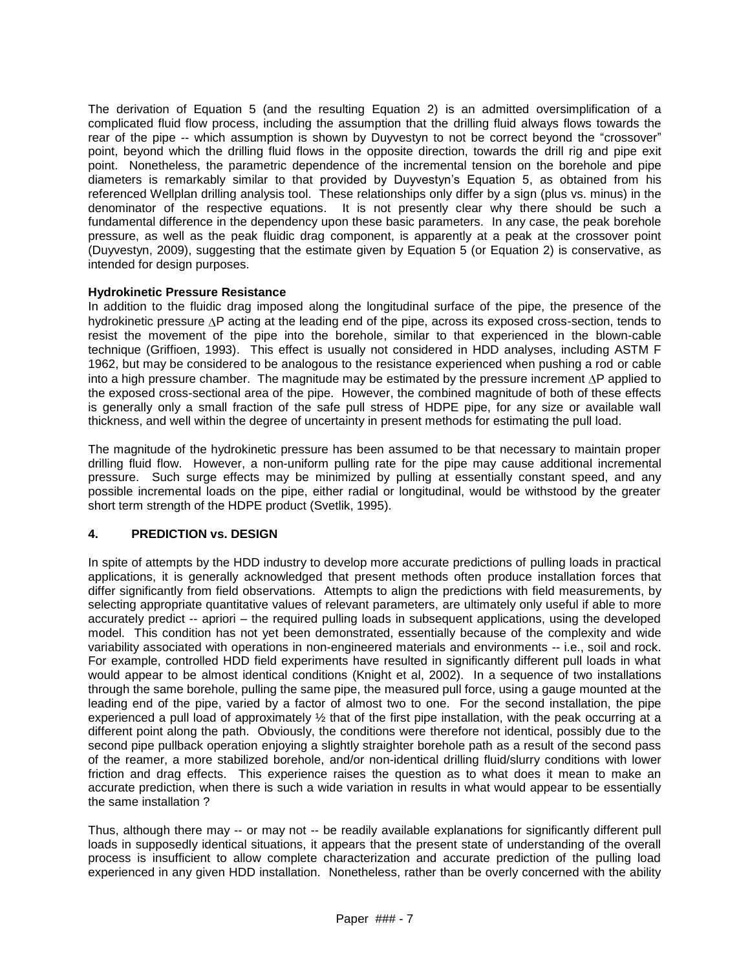The derivation of Equation 5 (and the resulting Equation 2) is an admitted oversimplification of a complicated fluid flow process, including the assumption that the drilling fluid always flows towards the rear of the pipe -- which assumption is shown by Duyvestyn to not be correct beyond the "crossover" point, beyond which the drilling fluid flows in the opposite direction, towards the drill rig and pipe exit point. Nonetheless, the parametric dependence of the incremental tension on the borehole and pipe diameters is remarkably similar to that provided by Duyvestyn's Equation 5, as obtained from his referenced Wellplan drilling analysis tool. These relationships only differ by a sign (plus vs. minus) in the denominator of the respective equations. It is not presently clear why there should be such a fundamental difference in the dependency upon these basic parameters. In any case, the peak borehole pressure, as well as the peak fluidic drag component, is apparently at a peak at the crossover point (Duyvestyn, 2009), suggesting that the estimate given by Equation 5 (or Equation 2) is conservative, as intended for design purposes.

#### **Hydrokinetic Pressure Resistance**

In addition to the fluidic drag imposed along the longitudinal surface of the pipe, the presence of the hydrokinetic pressure  $\Delta P$  acting at the leading end of the pipe, across its exposed cross-section, tends to resist the movement of the pipe into the borehole, similar to that experienced in the blown-cable technique (Griffioen, 1993). This effect is usually not considered in HDD analyses, including ASTM F 1962, but may be considered to be analogous to the resistance experienced when pushing a rod or cable into a high pressure chamber. The magnitude may be estimated by the pressure increment  $\Delta P$  applied to the exposed cross-sectional area of the pipe. However, the combined magnitude of both of these effects is generally only a small fraction of the safe pull stress of HDPE pipe, for any size or available wall thickness, and well within the degree of uncertainty in present methods for estimating the pull load.

The magnitude of the hydrokinetic pressure has been assumed to be that necessary to maintain proper drilling fluid flow. However, a non-uniform pulling rate for the pipe may cause additional incremental pressure. Such surge effects may be minimized by pulling at essentially constant speed, and any possible incremental loads on the pipe, either radial or longitudinal, would be withstood by the greater short term strength of the HDPE product (Svetlik, 1995).

# **4. PREDICTION vs. DESIGN**

In spite of attempts by the HDD industry to develop more accurate predictions of pulling loads in practical applications, it is generally acknowledged that present methods often produce installation forces that differ significantly from field observations. Attempts to align the predictions with field measurements, by selecting appropriate quantitative values of relevant parameters, are ultimately only useful if able to more accurately predict -- apriori – the required pulling loads in subsequent applications, using the developed model. This condition has not yet been demonstrated, essentially because of the complexity and wide variability associated with operations in non-engineered materials and environments -- i.e., soil and rock. For example, controlled HDD field experiments have resulted in significantly different pull loads in what would appear to be almost identical conditions (Knight et al, 2002). In a sequence of two installations through the same borehole, pulling the same pipe, the measured pull force, using a gauge mounted at the leading end of the pipe, varied by a factor of almost two to one. For the second installation, the pipe experienced a pull load of approximately ½ that of the first pipe installation, with the peak occurring at a different point along the path. Obviously, the conditions were therefore not identical, possibly due to the second pipe pullback operation enjoying a slightly straighter borehole path as a result of the second pass of the reamer, a more stabilized borehole, and/or non-identical drilling fluid/slurry conditions with lower friction and drag effects. This experience raises the question as to what does it mean to make an accurate prediction, when there is such a wide variation in results in what would appear to be essentially the same installation ?

Thus, although there may -- or may not -- be readily available explanations for significantly different pull loads in supposedly identical situations, it appears that the present state of understanding of the overall process is insufficient to allow complete characterization and accurate prediction of the pulling load experienced in any given HDD installation. Nonetheless, rather than be overly concerned with the ability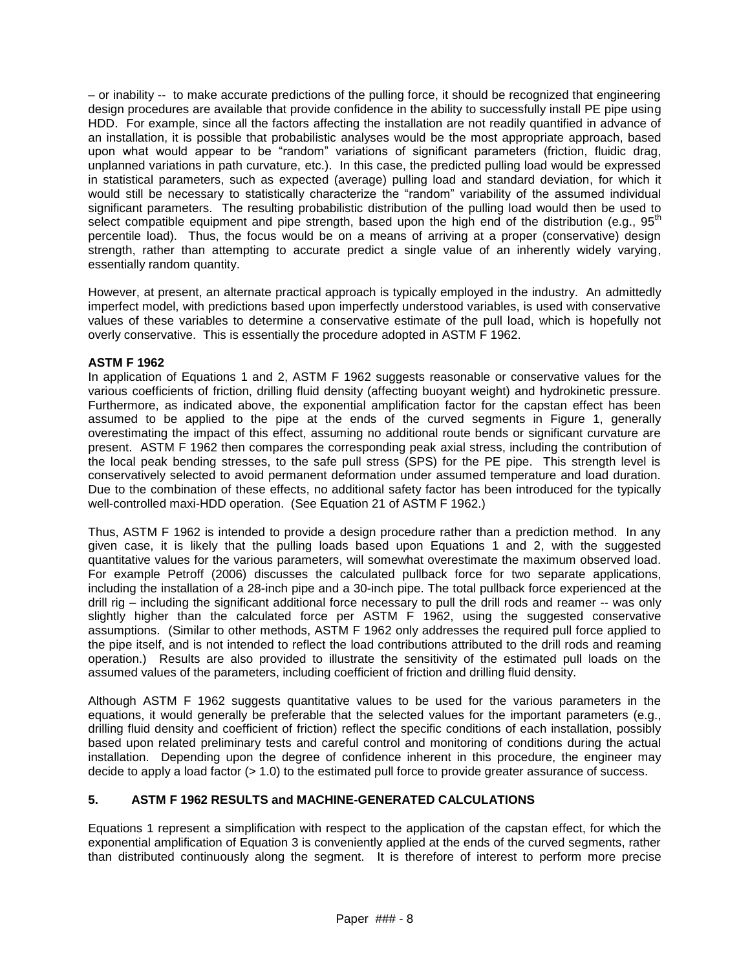– or inability -- to make accurate predictions of the pulling force, it should be recognized that engineering design procedures are available that provide confidence in the ability to successfully install PE pipe using HDD. For example, since all the factors affecting the installation are not readily quantified in advance of an installation, it is possible that probabilistic analyses would be the most appropriate approach, based upon what would appear to be "random" variations of significant parameters (friction, fluidic drag, unplanned variations in path curvature, etc.). In this case, the predicted pulling load would be expressed in statistical parameters, such as expected (average) pulling load and standard deviation, for which it would still be necessary to statistically characterize the "random" variability of the assumed individual significant parameters. The resulting probabilistic distribution of the pulling load would then be used to select compatible equipment and pipe strength, based upon the high end of the distribution (e.g., 95<sup>th</sup>) percentile load). Thus, the focus would be on a means of arriving at a proper (conservative) design strength, rather than attempting to accurate predict a single value of an inherently widely varying, essentially random quantity.

However, at present, an alternate practical approach is typically employed in the industry. An admittedly imperfect model, with predictions based upon imperfectly understood variables, is used with conservative values of these variables to determine a conservative estimate of the pull load, which is hopefully not overly conservative. This is essentially the procedure adopted in ASTM F 1962.

# **ASTM F 1962**

In application of Equations 1 and 2, ASTM F 1962 suggests reasonable or conservative values for the various coefficients of friction, drilling fluid density (affecting buoyant weight) and hydrokinetic pressure. Furthermore, as indicated above, the exponential amplification factor for the capstan effect has been assumed to be applied to the pipe at the ends of the curved segments in Figure 1, generally overestimating the impact of this effect, assuming no additional route bends or significant curvature are present. ASTM F 1962 then compares the corresponding peak axial stress, including the contribution of the local peak bending stresses, to the safe pull stress (SPS) for the PE pipe. This strength level is conservatively selected to avoid permanent deformation under assumed temperature and load duration. Due to the combination of these effects, no additional safety factor has been introduced for the typically well-controlled maxi-HDD operation. (See Equation 21 of ASTM F 1962.)

Thus, ASTM F 1962 is intended to provide a design procedure rather than a prediction method. In any given case, it is likely that the pulling loads based upon Equations 1 and 2, with the suggested quantitative values for the various parameters, will somewhat overestimate the maximum observed load. For example Petroff (2006) discusses the calculated pullback force for two separate applications, including the installation of a 28-inch pipe and a 30-inch pipe. The total pullback force experienced at the drill rig – including the significant additional force necessary to pull the drill rods and reamer -- was only slightly higher than the calculated force per ASTM F 1962, using the suggested conservative assumptions. (Similar to other methods, ASTM F 1962 only addresses the required pull force applied to the pipe itself, and is not intended to reflect the load contributions attributed to the drill rods and reaming operation.) Results are also provided to illustrate the sensitivity of the estimated pull loads on the assumed values of the parameters, including coefficient of friction and drilling fluid density.

Although ASTM F 1962 suggests quantitative values to be used for the various parameters in the equations, it would generally be preferable that the selected values for the important parameters (e.g., drilling fluid density and coefficient of friction) reflect the specific conditions of each installation, possibly based upon related preliminary tests and careful control and monitoring of conditions during the actual installation. Depending upon the degree of confidence inherent in this procedure, the engineer may decide to apply a load factor (> 1.0) to the estimated pull force to provide greater assurance of success.

# **5. ASTM F 1962 RESULTS and MACHINE-GENERATED CALCULATIONS**

Equations 1 represent a simplification with respect to the application of the capstan effect, for which the exponential amplification of Equation 3 is conveniently applied at the ends of the curved segments, rather than distributed continuously along the segment. It is therefore of interest to perform more precise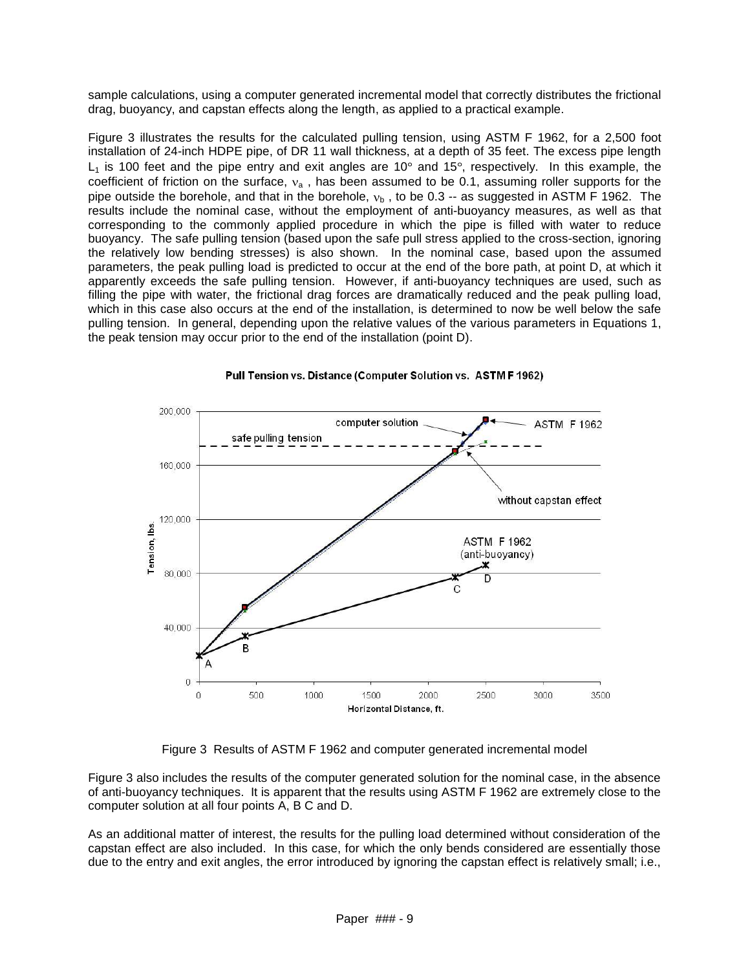sample calculations, using a computer generated incremental model that correctly distributes the frictional drag, buoyancy, and capstan effects along the length, as applied to a practical example.

Figure 3 illustrates the results for the calculated pulling tension, using ASTM F 1962, for a 2,500 foot installation of 24-inch HDPE pipe, of DR 11 wall thickness, at a depth of 35 feet. The excess pipe length  $L_1$  is 100 feet and the pipe entry and exit angles are 10 $\degree$  and 15 $\degree$ , respectively. In this example, the coefficient of friction on the surface,  $v_a$ , has been assumed to be 0.1, assuming roller supports for the pipe outside the borehole, and that in the borehole,  $v<sub>b</sub>$ , to be 0.3 -- as suggested in ASTM F 1962. The results include the nominal case, without the employment of anti-buoyancy measures, as well as that corresponding to the commonly applied procedure in which the pipe is filled with water to reduce buoyancy. The safe pulling tension (based upon the safe pull stress applied to the cross-section, ignoring the relatively low bending stresses) is also shown. In the nominal case, based upon the assumed parameters, the peak pulling load is predicted to occur at the end of the bore path, at point D, at which it apparently exceeds the safe pulling tension. However, if anti-buoyancy techniques are used, such as filling the pipe with water, the frictional drag forces are dramatically reduced and the peak pulling load, which in this case also occurs at the end of the installation, is determined to now be well below the safe pulling tension. In general, depending upon the relative values of the various parameters in Equations 1, the peak tension may occur prior to the end of the installation (point D).



#### Pull Tension vs. Distance (Computer Solution vs. ASTM F 1962)

Figure 3 Results of ASTM F 1962 and computer generated incremental model

Figure 3 also includes the results of the computer generated solution for the nominal case, in the absence of anti-buoyancy techniques. It is apparent that the results using ASTM F 1962 are extremely close to the computer solution at all four points A, B C and D.

As an additional matter of interest, the results for the pulling load determined without consideration of the capstan effect are also included. In this case, for which the only bends considered are essentially those due to the entry and exit angles, the error introduced by ignoring the capstan effect is relatively small; i.e.,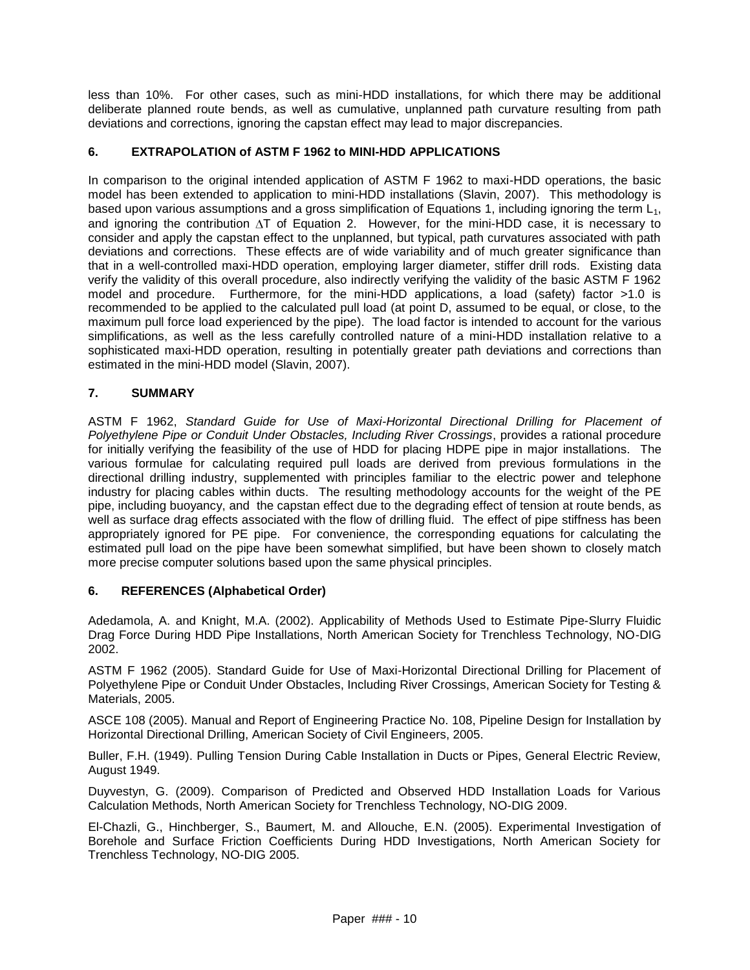less than 10%. For other cases, such as mini-HDD installations, for which there may be additional deliberate planned route bends, as well as cumulative, unplanned path curvature resulting from path deviations and corrections, ignoring the capstan effect may lead to major discrepancies.

# **6. EXTRAPOLATION of ASTM F 1962 to MINI-HDD APPLICATIONS**

In comparison to the original intended application of ASTM F 1962 to maxi-HDD operations, the basic model has been extended to application to mini-HDD installations (Slavin, 2007). This methodology is based upon various assumptions and a gross simplification of Equations 1, including ignoring the term  $L_1$ , and ignoring the contribution  $\Delta T$  of Equation 2. However, for the mini-HDD case, it is necessary to consider and apply the capstan effect to the unplanned, but typical, path curvatures associated with path deviations and corrections. These effects are of wide variability and of much greater significance than that in a well-controlled maxi-HDD operation, employing larger diameter, stiffer drill rods. Existing data verify the validity of this overall procedure, also indirectly verifying the validity of the basic ASTM F 1962 model and procedure. Furthermore, for the mini-HDD applications, a load (safety) factor >1.0 is recommended to be applied to the calculated pull load (at point D, assumed to be equal, or close, to the maximum pull force load experienced by the pipe). The load factor is intended to account for the various simplifications, as well as the less carefully controlled nature of a mini-HDD installation relative to a sophisticated maxi-HDD operation, resulting in potentially greater path deviations and corrections than estimated in the mini-HDD model (Slavin, 2007).

# **7. SUMMARY**

ASTM F 1962, *Standard Guide for Use of Maxi-Horizontal Directional Drilling for Placement of Polyethylene Pipe or Conduit Under Obstacles, Including River Crossings*, provides a rational procedure for initially verifying the feasibility of the use of HDD for placing HDPE pipe in major installations. The various formulae for calculating required pull loads are derived from previous formulations in the directional drilling industry, supplemented with principles familiar to the electric power and telephone industry for placing cables within ducts. The resulting methodology accounts for the weight of the PE pipe, including buoyancy, and the capstan effect due to the degrading effect of tension at route bends, as well as surface drag effects associated with the flow of drilling fluid. The effect of pipe stiffness has been appropriately ignored for PE pipe. For convenience, the corresponding equations for calculating the estimated pull load on the pipe have been somewhat simplified, but have been shown to closely match more precise computer solutions based upon the same physical principles.

# **6. REFERENCES (Alphabetical Order)**

Adedamola, A. and Knight, M.A. (2002). Applicability of Methods Used to Estimate Pipe-Slurry Fluidic Drag Force During HDD Pipe Installations, North American Society for Trenchless Technology, NO-DIG 2002.

ASTM F 1962 (2005). Standard Guide for Use of Maxi-Horizontal Directional Drilling for Placement of Polyethylene Pipe or Conduit Under Obstacles, Including River Crossings, American Society for Testing & Materials, 2005.

ASCE 108 (2005). Manual and Report of Engineering Practice No. 108, Pipeline Design for Installation by Horizontal Directional Drilling, American Society of Civil Engineers, 2005.

Buller, F.H. (1949). Pulling Tension During Cable Installation in Ducts or Pipes, General Electric Review, August 1949.

Duyvestyn, G. (2009). Comparison of Predicted and Observed HDD Installation Loads for Various Calculation Methods, North American Society for Trenchless Technology, NO-DIG 2009.

El-Chazli, G., Hinchberger, S., Baumert, M. and Allouche, E.N. (2005). Experimental Investigation of Borehole and Surface Friction Coefficients During HDD Investigations, North American Society for Trenchless Technology, NO-DIG 2005.